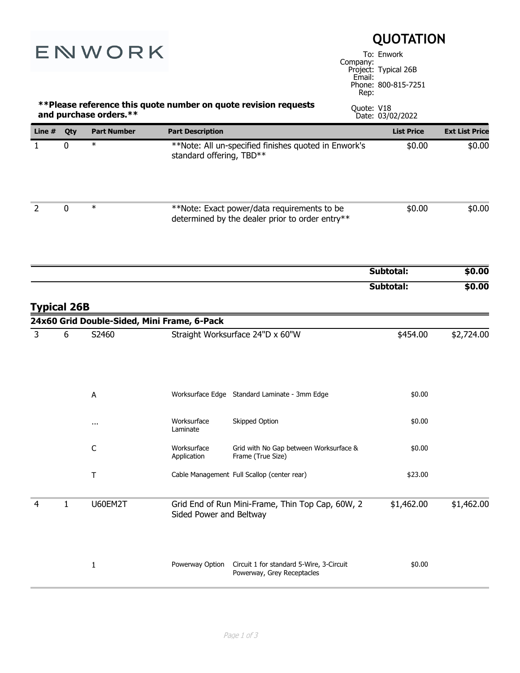| ENWORK                                                                                    |              | <b>QUOTATION</b><br>To: Enwork<br>Company:<br>Project: Typical 26B                     |                            |                                                                                                |                |                     |                       |
|-------------------------------------------------------------------------------------------|--------------|----------------------------------------------------------------------------------------|----------------------------|------------------------------------------------------------------------------------------------|----------------|---------------------|-----------------------|
|                                                                                           |              |                                                                                        |                            |                                                                                                | Email:<br>Rep: | Phone: 800-815-7251 |                       |
| **Please reference this quote number on quote revision requests<br>and purchase orders.** |              |                                                                                        |                            |                                                                                                | Quote: V18     | Date: 03/02/2022    |                       |
| Line $#$                                                                                  | Qty          | <b>Part Number</b>                                                                     | <b>Part Description</b>    |                                                                                                |                | <b>List Price</b>   | <b>Ext List Price</b> |
| $\mathbf{1}$                                                                              | $\mathbf 0$  | $\ast$                                                                                 | standard offering, TBD**   | **Note: All un-specified finishes quoted in Enwork's                                           |                | \$0.00              | \$0.00                |
| $\overline{2}$                                                                            | $\mathbf 0$  | $\ast$                                                                                 |                            | **Note: Exact power/data requirements to be<br>determined by the dealer prior to order entry** |                | \$0.00              | \$0.00                |
|                                                                                           |              |                                                                                        |                            |                                                                                                |                | Subtotal:           | \$0.00                |
| <b>Typical 26B</b>                                                                        |              |                                                                                        |                            |                                                                                                |                | Subtotal:           | \$0.00                |
|                                                                                           |              | 24x60 Grid Double-Sided, Mini Frame, 6-Pack                                            |                            |                                                                                                |                |                     |                       |
| $\overline{3}$                                                                            | 6            | S2460                                                                                  |                            | Straight Worksurface 24"D x 60"W                                                               |                | \$454.00            | \$2,724.00            |
|                                                                                           |              | Α                                                                                      |                            | Worksurface Edge Standard Laminate - 3mm Edge                                                  |                | \$0.00              |                       |
|                                                                                           |              |                                                                                        | Worksurface<br>Laminate    | Skipped Option                                                                                 |                | \$0.00              |                       |
|                                                                                           |              | C                                                                                      | Worksurface<br>Application | Grid with No Gap between Worksurface &<br>Frame (True Size)                                    |                | \$0.00              |                       |
|                                                                                           |              | т                                                                                      |                            | Cable Management Full Scallop (center rear)                                                    |                | \$23.00             |                       |
| 4                                                                                         | $\mathbf{1}$ | U60EM2T<br>Grid End of Run Mini-Frame, Thin Top Cap, 60W, 2<br>Sided Power and Beltway |                            |                                                                                                | \$1,462.00     | \$1,462.00          |                       |
|                                                                                           |              | $\mathbf{1}$                                                                           | Powerway Option            | Circuit 1 for standard 5-Wire, 3-Circuit<br>Powerway, Grey Receptacles                         |                | \$0.00              |                       |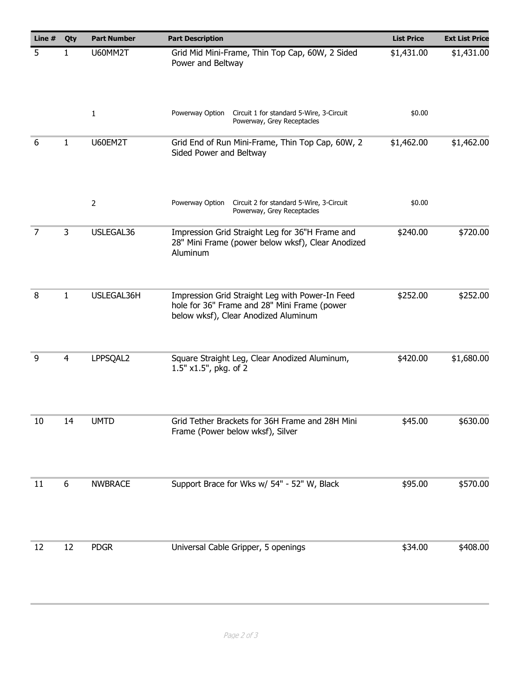| Line $#$ | Qty            | <b>Part Number</b> | <b>Part Description</b>                                                                                                                 | <b>List Price</b> | <b>Ext List Price</b> |
|----------|----------------|--------------------|-----------------------------------------------------------------------------------------------------------------------------------------|-------------------|-----------------------|
| 5        | 1              | U60MM2T            | Grid Mid Mini-Frame, Thin Top Cap, 60W, 2 Sided<br>Power and Beltway                                                                    | \$1,431.00        | \$1,431.00            |
|          |                | $\mathbf{1}$       | Powerway Option<br>Circuit 1 for standard 5-Wire, 3-Circuit<br>Powerway, Grey Receptacles                                               | \$0.00            |                       |
| 6        | 1              | U60EM2T            | Grid End of Run Mini-Frame, Thin Top Cap, 60W, 2<br>Sided Power and Beltway                                                             | \$1,462.00        | \$1,462.00            |
|          |                | $\overline{2}$     | Powerway Option<br>Circuit 2 for standard 5-Wire, 3-Circuit<br>Powerway, Grey Receptacles                                               | \$0.00            |                       |
| 7        | 3              | USLEGAL36          | Impression Grid Straight Leg for 36"H Frame and<br>28" Mini Frame (power below wksf), Clear Anodized<br>Aluminum                        | \$240.00          | \$720.00              |
| 8        | 1              | USLEGAL36H         | Impression Grid Straight Leg with Power-In Feed<br>hole for 36" Frame and 28" Mini Frame (power<br>below wksf), Clear Anodized Aluminum | \$252.00          | \$252.00              |
| 9        | $\overline{4}$ | LPPSQAL2           | Square Straight Leg, Clear Anodized Aluminum,<br>1.5" x1.5", pkg. of 2                                                                  | \$420.00          | \$1,680.00            |
| 10       | 14             | <b>UMTD</b>        | Grid Tether Brackets for 36H Frame and 28H Mini<br>Frame (Power below wksf), Silver                                                     | \$45.00           | \$630.00              |
| 11       | 6              | <b>NWBRACE</b>     | Support Brace for Wks w/ 54" - 52" W, Black                                                                                             | \$95.00           | \$570.00              |
| 12       | 12             | <b>PDGR</b>        | Universal Cable Gripper, 5 openings                                                                                                     | \$34.00           | \$408.00              |